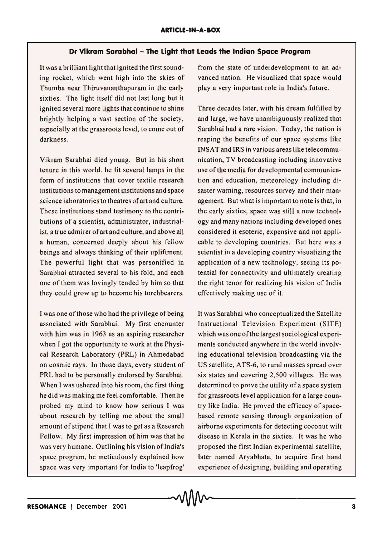## **Dr Vikram Sarabhai - The Light that Leads the Indian Space Program**

It was a brilliant light that ignited the first sounding rocket, which went high into the skies of Thumba near Thiruvananthapuram in the early sixties. The light itself did not last long but it ignited several more lights that continue to shine brightly helping a vast section of the society, especially at the grassroots level, to come out of darkness.

Vikram Sarabhai died young. But in his short tenure in this world. he lit several lamps in the form of institutions that cover textile research institutions to management institutions and space science laboratories to theatres of art and culture. These institutions stand testimony to the contributions of a scientist, administrator, industrialist, a true admirer of art and culture, and above all a human, concerned deeply about his fellow beings and always thinking of their upliftment. The powerful light that was personified in Sarabhai attracted several to his fold, and each one of them was lovingly tended by him so that they could grow up to become his torchbearers.

I was one of those who had the privilege of being associated with Sarabhai. My first encounter with him was in 1963 as an aspiring researcher when I got the opportunity to work at the Physical Research Laboratory (PRL) in Ahmedabad on cosmic rays. In those days, every student of PRL had to be personally endorsed by Sarabhai. When I was ushered into his room, the first thing he did was making me feel comfortable. Then he probed my mind to know how serious I was about research by telling me about the small amount of stipend that I was to get as a Research Fellow. My first impression of him was that he was very humane. Outlining his vision of India's space program, he meticulously explained how space was very important for India to 'leapfrog' from the state of underdevelopment to an advanced nation. He visualized that space would playa very important role in India's future.

Three decades later, with his dream fulfilled by and large, we have unambiguously realized that Sarabhai had a rare vision. Today, the nation is reaping the benefits of our space systems like INSAT and IRS in various areas like telecommunication, TV broadcasting including innovative use of the media for developmental communication and education, meteorology including disaster warning, resources survey and their management. But what is important to note is that, in the early sixties, space was still a new technology and many nations including developed ones considered it esoteric, expensive and not applicable to developing countries. But here was a scientist in a developing country visualizing the application of a new technology. seeing its potential for connectivity and ultimately creating the right tenor for realizing his vision of India effectively making use of it.

It was Sarabhai who conceptualized the Satellite Instructional Television Experiment (SITE) which was one ofthe largest sociological experiments conducted anywhere in the world involving educational television broadcasting via the US satellite, ATS-6, to rural masses spread over six states and covering 2,500 villages. He was determined to prove the utility of a space system for grassroots level application for a large country like India. He proved the efficacy of spacebased remote sensing through organization of airborne experiments for detecting coconut wilt disease in Kerala in the sixties. It was he who proposed the first Indian experimental satellite, later named Aryabhata, to acquire first hand experience of designing, building and operating